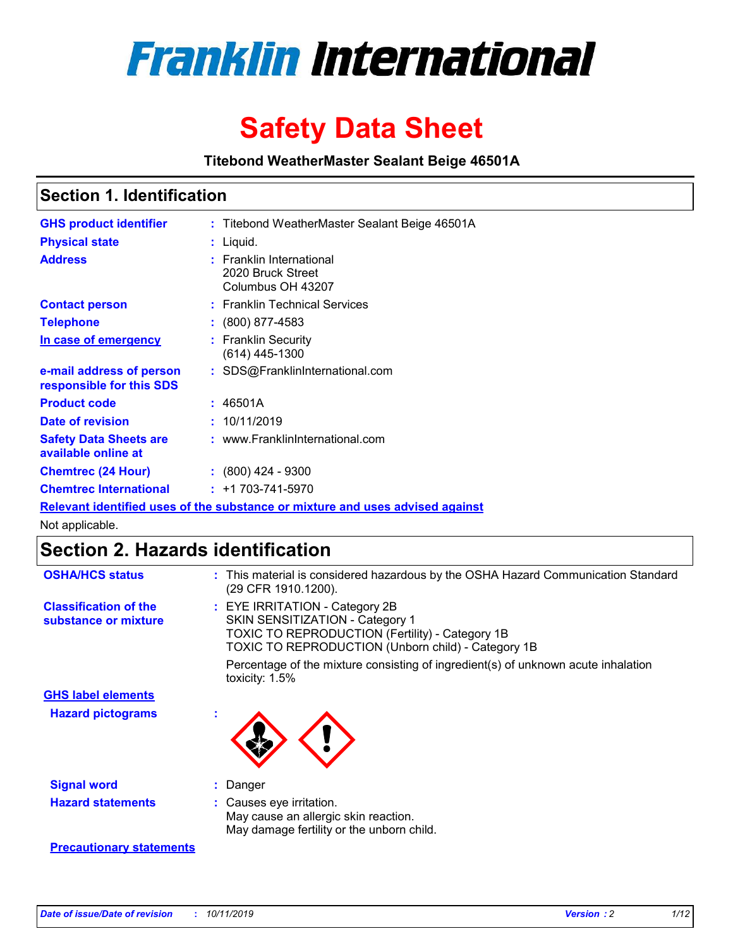

# **Safety Data Sheet**

**Titebond WeatherMaster Sealant Beige 46501A**

### **Section 1. Identification**

| <b>GHS product identifier</b>                        | : Titebond WeatherMaster Sealant Beige 46501A                                 |
|------------------------------------------------------|-------------------------------------------------------------------------------|
| <b>Physical state</b>                                | : Liquid.                                                                     |
| <b>Address</b>                                       | : Franklin International<br>2020 Bruck Street<br>Columbus OH 43207            |
| <b>Contact person</b>                                | : Franklin Technical Services                                                 |
| <b>Telephone</b>                                     | : (800) 877-4583                                                              |
| In case of emergency                                 | : Franklin Security<br>$(614)$ 445-1300                                       |
| e-mail address of person<br>responsible for this SDS | : SDS@FranklinInternational.com                                               |
| <b>Product code</b>                                  | : 46501A                                                                      |
| Date of revision                                     | : 10/11/2019                                                                  |
| <b>Safety Data Sheets are</b><br>available online at | : www.FranklinInternational.com                                               |
| <b>Chemtrec (24 Hour)</b>                            | $\div$ (800) 424 - 9300                                                       |
| <b>Chemtrec International</b>                        | $: +1703 - 741 - 5970$                                                        |
|                                                      | Relevant identified uses of the substance or mixture and uses advised against |

Not applicable.

## **Section 2. Hazards identification**

| <b>OSHA/HCS status</b>                               | : This material is considered hazardous by the OSHA Hazard Communication Standard<br>(29 CFR 1910.1200).                                                                          |
|------------------------------------------------------|-----------------------------------------------------------------------------------------------------------------------------------------------------------------------------------|
| <b>Classification of the</b><br>substance or mixture | : EYE IRRITATION - Category 2B<br>SKIN SENSITIZATION - Category 1<br><b>TOXIC TO REPRODUCTION (Fertility) - Category 1B</b><br>TOXIC TO REPRODUCTION (Unborn child) - Category 1B |
|                                                      | Percentage of the mixture consisting of ingredient(s) of unknown acute inhalation<br>toxicity: $1.5\%$                                                                            |
| <b>GHS label elements</b>                            |                                                                                                                                                                                   |
| <b>Hazard pictograms</b>                             |                                                                                                                                                                                   |
| <b>Signal word</b>                                   | : Danger                                                                                                                                                                          |
| <b>Hazard statements</b>                             | : Causes eye irritation.<br>May cause an allergic skin reaction.<br>May damage fertility or the unborn child.                                                                     |
| <b>Precautionary statements</b>                      |                                                                                                                                                                                   |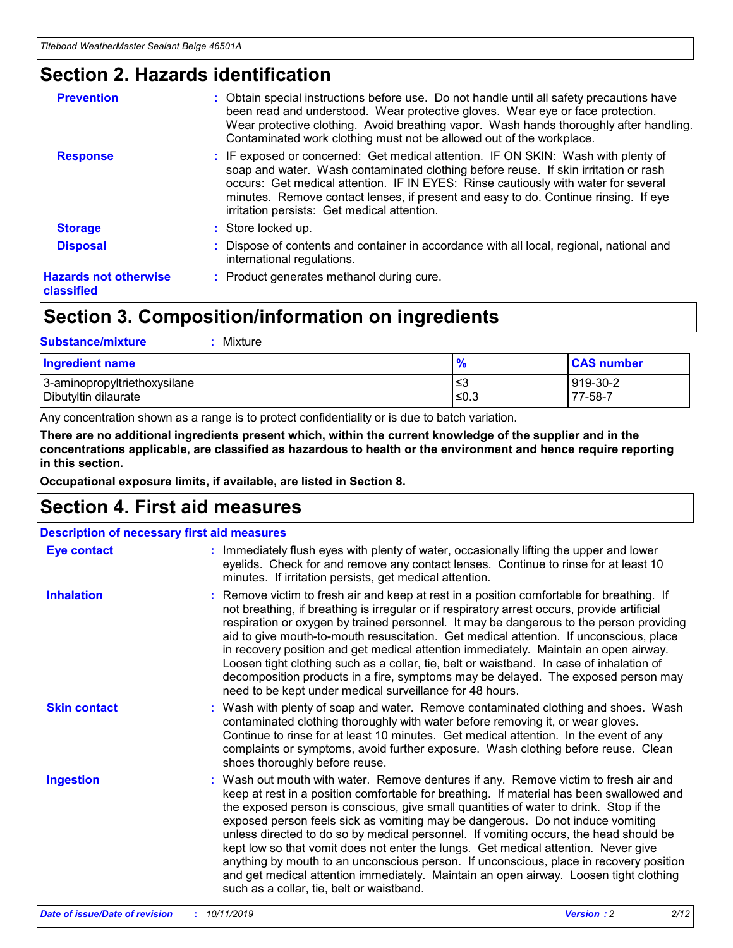### **Section 2. Hazards identification**

| <b>Prevention</b>                          | : Obtain special instructions before use. Do not handle until all safety precautions have<br>been read and understood. Wear protective gloves. Wear eye or face protection.<br>Wear protective clothing. Avoid breathing vapor. Wash hands thoroughly after handling.<br>Contaminated work clothing must not be allowed out of the workplace.                                                        |
|--------------------------------------------|------------------------------------------------------------------------------------------------------------------------------------------------------------------------------------------------------------------------------------------------------------------------------------------------------------------------------------------------------------------------------------------------------|
| <b>Response</b>                            | : IF exposed or concerned: Get medical attention. IF ON SKIN: Wash with plenty of<br>soap and water. Wash contaminated clothing before reuse. If skin irritation or rash<br>occurs: Get medical attention. IF IN EYES: Rinse cautiously with water for several<br>minutes. Remove contact lenses, if present and easy to do. Continue rinsing. If eye<br>irritation persists: Get medical attention. |
| <b>Storage</b>                             | : Store locked up.                                                                                                                                                                                                                                                                                                                                                                                   |
| <b>Disposal</b>                            | : Dispose of contents and container in accordance with all local, regional, national and<br>international regulations.                                                                                                                                                                                                                                                                               |
| <b>Hazards not otherwise</b><br>classified | : Product generates methanol during cure.                                                                                                                                                                                                                                                                                                                                                            |
|                                            |                                                                                                                                                                                                                                                                                                                                                                                                      |

### **Section 3. Composition/information on ingredients**

| <b>Substance/mixture</b><br>Mixture                  |                   |                     |
|------------------------------------------------------|-------------------|---------------------|
| <b>Ingredient name</b>                               | $\frac{9}{6}$     | <b>CAS number</b>   |
| 3-aminopropyltriethoxysilane<br>Dibutyltin dilaurate | l≤3<br>$\leq 0.3$ | 919-30-2<br>77-58-7 |

Any concentration shown as a range is to protect confidentiality or is due to batch variation.

**There are no additional ingredients present which, within the current knowledge of the supplier and in the concentrations applicable, are classified as hazardous to health or the environment and hence require reporting in this section.**

**Occupational exposure limits, if available, are listed in Section 8.**

### **Section 4. First aid measures**

| <b>Description of necessary first aid measures</b> |                                                                                                                                                                                                                                                                                                                                                                                                                                                                                                                                                                                                                                                                                                                                                                           |  |  |  |
|----------------------------------------------------|---------------------------------------------------------------------------------------------------------------------------------------------------------------------------------------------------------------------------------------------------------------------------------------------------------------------------------------------------------------------------------------------------------------------------------------------------------------------------------------------------------------------------------------------------------------------------------------------------------------------------------------------------------------------------------------------------------------------------------------------------------------------------|--|--|--|
| <b>Eye contact</b>                                 | : Immediately flush eyes with plenty of water, occasionally lifting the upper and lower<br>eyelids. Check for and remove any contact lenses. Continue to rinse for at least 10<br>minutes. If irritation persists, get medical attention.                                                                                                                                                                                                                                                                                                                                                                                                                                                                                                                                 |  |  |  |
| <b>Inhalation</b>                                  | : Remove victim to fresh air and keep at rest in a position comfortable for breathing. If<br>not breathing, if breathing is irregular or if respiratory arrest occurs, provide artificial<br>respiration or oxygen by trained personnel. It may be dangerous to the person providing<br>aid to give mouth-to-mouth resuscitation. Get medical attention. If unconscious, place<br>in recovery position and get medical attention immediately. Maintain an open airway.<br>Loosen tight clothing such as a collar, tie, belt or waistband. In case of inhalation of<br>decomposition products in a fire, symptoms may be delayed. The exposed person may<br>need to be kept under medical surveillance for 48 hours.                                                       |  |  |  |
| <b>Skin contact</b>                                | : Wash with plenty of soap and water. Remove contaminated clothing and shoes. Wash<br>contaminated clothing thoroughly with water before removing it, or wear gloves.<br>Continue to rinse for at least 10 minutes. Get medical attention. In the event of any<br>complaints or symptoms, avoid further exposure. Wash clothing before reuse. Clean<br>shoes thoroughly before reuse.                                                                                                                                                                                                                                                                                                                                                                                     |  |  |  |
| <b>Ingestion</b>                                   | : Wash out mouth with water. Remove dentures if any. Remove victim to fresh air and<br>keep at rest in a position comfortable for breathing. If material has been swallowed and<br>the exposed person is conscious, give small quantities of water to drink. Stop if the<br>exposed person feels sick as vomiting may be dangerous. Do not induce vomiting<br>unless directed to do so by medical personnel. If vomiting occurs, the head should be<br>kept low so that vomit does not enter the lungs. Get medical attention. Never give<br>anything by mouth to an unconscious person. If unconscious, place in recovery position<br>and get medical attention immediately. Maintain an open airway. Loosen tight clothing<br>such as a collar, tie, belt or waistband. |  |  |  |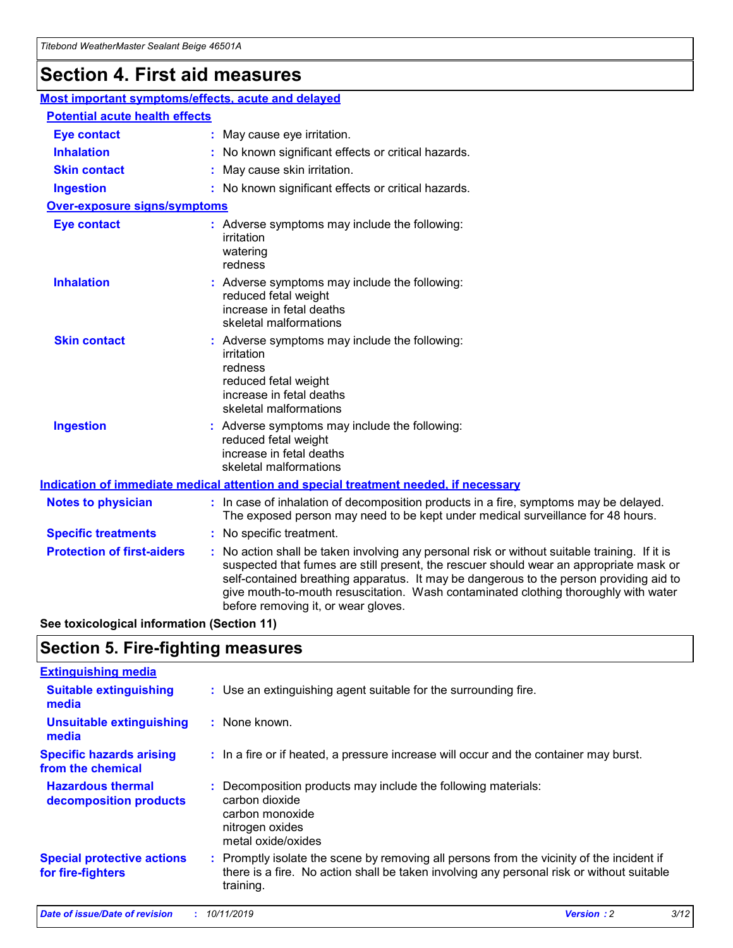## **Section 4. First aid measures**

| Most important symptoms/effects, acute and delayed |                                       |                                                                                                                                                                                                                                                                                                                                                                                                                 |  |  |  |
|----------------------------------------------------|---------------------------------------|-----------------------------------------------------------------------------------------------------------------------------------------------------------------------------------------------------------------------------------------------------------------------------------------------------------------------------------------------------------------------------------------------------------------|--|--|--|
|                                                    | <b>Potential acute health effects</b> |                                                                                                                                                                                                                                                                                                                                                                                                                 |  |  |  |
| <b>Eye contact</b>                                 |                                       | : May cause eye irritation.                                                                                                                                                                                                                                                                                                                                                                                     |  |  |  |
| <b>Inhalation</b>                                  |                                       | : No known significant effects or critical hazards.                                                                                                                                                                                                                                                                                                                                                             |  |  |  |
| <b>Skin contact</b>                                |                                       | : May cause skin irritation.                                                                                                                                                                                                                                                                                                                                                                                    |  |  |  |
| <b>Ingestion</b>                                   |                                       | : No known significant effects or critical hazards.                                                                                                                                                                                                                                                                                                                                                             |  |  |  |
| Over-exposure signs/symptoms                       |                                       |                                                                                                                                                                                                                                                                                                                                                                                                                 |  |  |  |
| <b>Eye contact</b>                                 |                                       | : Adverse symptoms may include the following:<br>irritation<br>watering<br>redness                                                                                                                                                                                                                                                                                                                              |  |  |  |
| <b>Inhalation</b>                                  |                                       | : Adverse symptoms may include the following:<br>reduced fetal weight<br>increase in fetal deaths<br>skeletal malformations                                                                                                                                                                                                                                                                                     |  |  |  |
| <b>Skin contact</b>                                |                                       | : Adverse symptoms may include the following:<br>irritation<br>redness<br>reduced fetal weight<br>increase in fetal deaths<br>skeletal malformations                                                                                                                                                                                                                                                            |  |  |  |
| <b>Ingestion</b>                                   |                                       | : Adverse symptoms may include the following:<br>reduced fetal weight<br>increase in fetal deaths<br>skeletal malformations                                                                                                                                                                                                                                                                                     |  |  |  |
|                                                    |                                       | <b>Indication of immediate medical attention and special treatment needed, if necessary</b>                                                                                                                                                                                                                                                                                                                     |  |  |  |
| <b>Notes to physician</b>                          |                                       | : In case of inhalation of decomposition products in a fire, symptoms may be delayed.<br>The exposed person may need to be kept under medical surveillance for 48 hours.                                                                                                                                                                                                                                        |  |  |  |
| <b>Specific treatments</b>                         |                                       | : No specific treatment.                                                                                                                                                                                                                                                                                                                                                                                        |  |  |  |
| <b>Protection of first-aiders</b>                  |                                       | : No action shall be taken involving any personal risk or without suitable training. If it is<br>suspected that fumes are still present, the rescuer should wear an appropriate mask or<br>self-contained breathing apparatus. It may be dangerous to the person providing aid to<br>give mouth-to-mouth resuscitation. Wash contaminated clothing thoroughly with water<br>before removing it, or wear gloves. |  |  |  |

**See toxicological information (Section 11)**

### **Section 5. Fire-fighting measures**

| <b>Extinguishing media</b>                             |                                                                                                                                                                                                     |
|--------------------------------------------------------|-----------------------------------------------------------------------------------------------------------------------------------------------------------------------------------------------------|
| <b>Suitable extinguishing</b><br>media                 | : Use an extinguishing agent suitable for the surrounding fire.                                                                                                                                     |
| <b>Unsuitable extinguishing</b><br>media               | : None known.                                                                                                                                                                                       |
| <b>Specific hazards arising</b><br>from the chemical   | : In a fire or if heated, a pressure increase will occur and the container may burst.                                                                                                               |
| <b>Hazardous thermal</b><br>decomposition products     | : Decomposition products may include the following materials:<br>carbon dioxide<br>carbon monoxide<br>nitrogen oxides<br>metal oxide/oxides                                                         |
| <b>Special protective actions</b><br>for fire-fighters | : Promptly isolate the scene by removing all persons from the vicinity of the incident if<br>there is a fire. No action shall be taken involving any personal risk or without suitable<br>training. |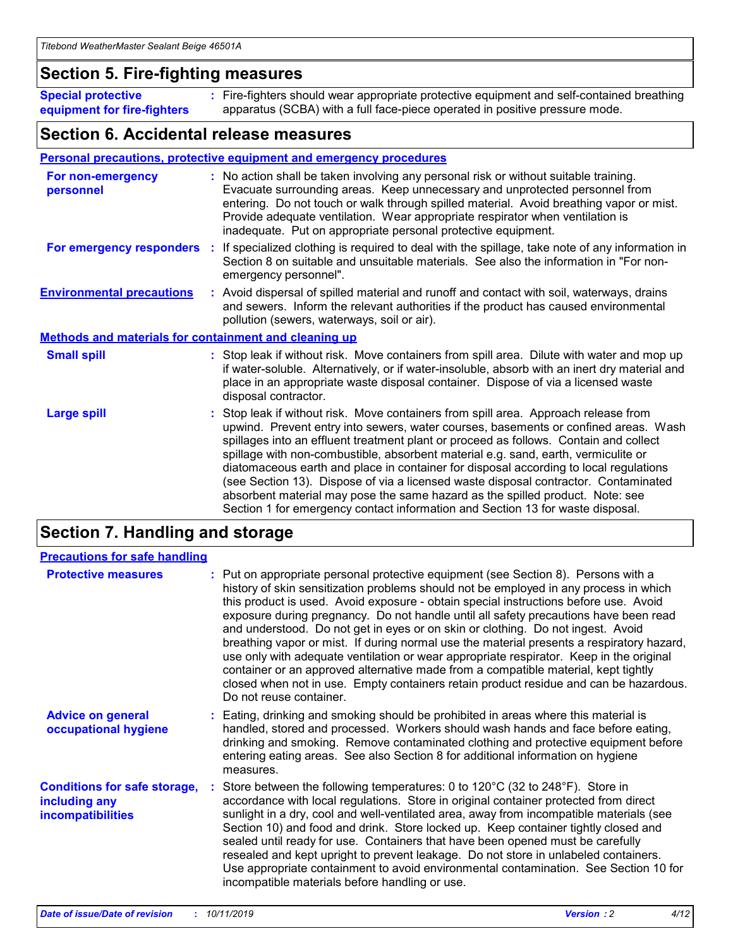### **Section 5. Fire-fighting measures**

**Special protective equipment for fire-fighters** Fire-fighters should wear appropriate protective equipment and self-contained breathing **:** apparatus (SCBA) with a full face-piece operated in positive pressure mode.

### **Section 6. Accidental release measures**

#### **Personal precautions, protective equipment and emergency procedures**

| For non-emergency<br>personnel                               | : No action shall be taken involving any personal risk or without suitable training.<br>Evacuate surrounding areas. Keep unnecessary and unprotected personnel from<br>entering. Do not touch or walk through spilled material. Avoid breathing vapor or mist.<br>Provide adequate ventilation. Wear appropriate respirator when ventilation is<br>inadequate. Put on appropriate personal protective equipment.                                                                                                                                                                                                                                                                                             |
|--------------------------------------------------------------|--------------------------------------------------------------------------------------------------------------------------------------------------------------------------------------------------------------------------------------------------------------------------------------------------------------------------------------------------------------------------------------------------------------------------------------------------------------------------------------------------------------------------------------------------------------------------------------------------------------------------------------------------------------------------------------------------------------|
|                                                              | For emergency responders : If specialized clothing is required to deal with the spillage, take note of any information in<br>Section 8 on suitable and unsuitable materials. See also the information in "For non-<br>emergency personnel".                                                                                                                                                                                                                                                                                                                                                                                                                                                                  |
| <b>Environmental precautions</b>                             | : Avoid dispersal of spilled material and runoff and contact with soil, waterways, drains<br>and sewers. Inform the relevant authorities if the product has caused environmental<br>pollution (sewers, waterways, soil or air).                                                                                                                                                                                                                                                                                                                                                                                                                                                                              |
| <b>Methods and materials for containment and cleaning up</b> |                                                                                                                                                                                                                                                                                                                                                                                                                                                                                                                                                                                                                                                                                                              |
| <b>Small spill</b>                                           | : Stop leak if without risk. Move containers from spill area. Dilute with water and mop up<br>if water-soluble. Alternatively, or if water-insoluble, absorb with an inert dry material and<br>place in an appropriate waste disposal container. Dispose of via a licensed waste<br>disposal contractor.                                                                                                                                                                                                                                                                                                                                                                                                     |
| <b>Large spill</b>                                           | : Stop leak if without risk. Move containers from spill area. Approach release from<br>upwind. Prevent entry into sewers, water courses, basements or confined areas. Wash<br>spillages into an effluent treatment plant or proceed as follows. Contain and collect<br>spillage with non-combustible, absorbent material e.g. sand, earth, vermiculite or<br>diatomaceous earth and place in container for disposal according to local regulations<br>(see Section 13). Dispose of via a licensed waste disposal contractor. Contaminated<br>absorbent material may pose the same hazard as the spilled product. Note: see<br>Section 1 for emergency contact information and Section 13 for waste disposal. |

### **Section 7. Handling and storage**

| <b>Precautions for safe handling</b>                                             |                                                                                                                                                                                                                                                                                                                                                                                                                                                                                                                                                                                                                                                                                                                                                                                                                                                  |
|----------------------------------------------------------------------------------|--------------------------------------------------------------------------------------------------------------------------------------------------------------------------------------------------------------------------------------------------------------------------------------------------------------------------------------------------------------------------------------------------------------------------------------------------------------------------------------------------------------------------------------------------------------------------------------------------------------------------------------------------------------------------------------------------------------------------------------------------------------------------------------------------------------------------------------------------|
| <b>Protective measures</b>                                                       | : Put on appropriate personal protective equipment (see Section 8). Persons with a<br>history of skin sensitization problems should not be employed in any process in which<br>this product is used. Avoid exposure - obtain special instructions before use. Avoid<br>exposure during pregnancy. Do not handle until all safety precautions have been read<br>and understood. Do not get in eyes or on skin or clothing. Do not ingest. Avoid<br>breathing vapor or mist. If during normal use the material presents a respiratory hazard,<br>use only with adequate ventilation or wear appropriate respirator. Keep in the original<br>container or an approved alternative made from a compatible material, kept tightly<br>closed when not in use. Empty containers retain product residue and can be hazardous.<br>Do not reuse container. |
| <b>Advice on general</b><br>occupational hygiene                                 | : Eating, drinking and smoking should be prohibited in areas where this material is<br>handled, stored and processed. Workers should wash hands and face before eating,<br>drinking and smoking. Remove contaminated clothing and protective equipment before<br>entering eating areas. See also Section 8 for additional information on hygiene<br>measures.                                                                                                                                                                                                                                                                                                                                                                                                                                                                                    |
| <b>Conditions for safe storage,</b><br>including any<br><b>incompatibilities</b> | : Store between the following temperatures: 0 to 120 $\degree$ C (32 to 248 $\degree$ F). Store in<br>accordance with local regulations. Store in original container protected from direct<br>sunlight in a dry, cool and well-ventilated area, away from incompatible materials (see<br>Section 10) and food and drink. Store locked up. Keep container tightly closed and<br>sealed until ready for use. Containers that have been opened must be carefully<br>resealed and kept upright to prevent leakage. Do not store in unlabeled containers.<br>Use appropriate containment to avoid environmental contamination. See Section 10 for<br>incompatible materials before handling or use.                                                                                                                                                   |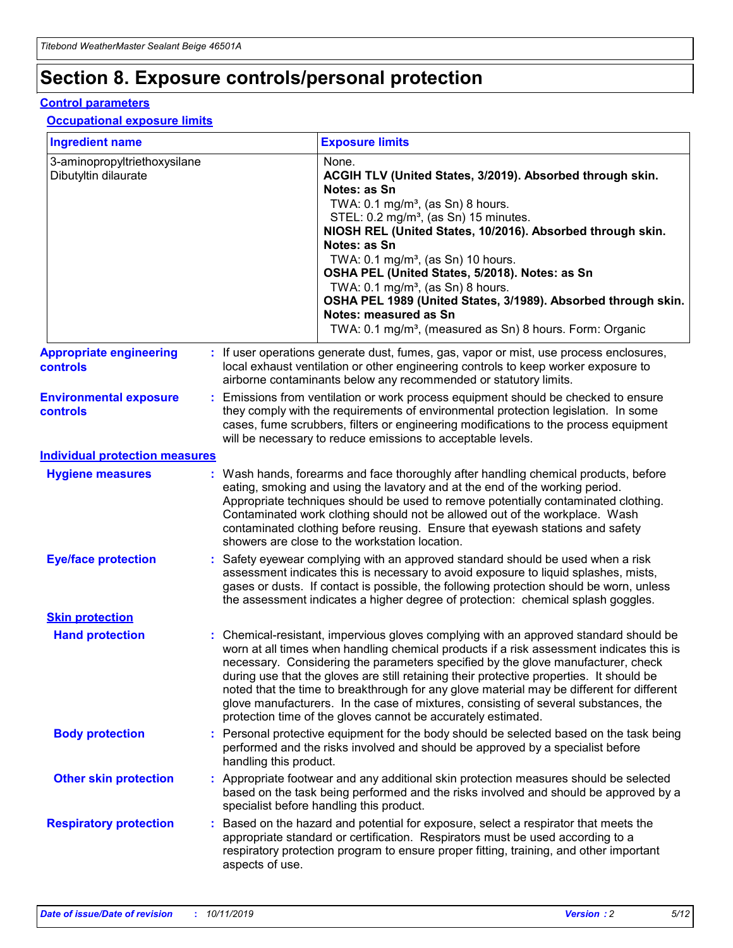## **Section 8. Exposure controls/personal protection**

#### **Control parameters**

#### **Occupational exposure limits**

| <b>Ingredient name</b>                               |    |                        | <b>Exposure limits</b>                                                                                                                                                                                                                                                                                                                                                                                                                                                                                                                                                                                                 |
|------------------------------------------------------|----|------------------------|------------------------------------------------------------------------------------------------------------------------------------------------------------------------------------------------------------------------------------------------------------------------------------------------------------------------------------------------------------------------------------------------------------------------------------------------------------------------------------------------------------------------------------------------------------------------------------------------------------------------|
| 3-aminopropyltriethoxysilane<br>Dibutyltin dilaurate |    |                        | None.<br>ACGIH TLV (United States, 3/2019). Absorbed through skin.<br>Notes: as Sn<br>TWA: $0.1 \text{ mg/m}^3$ , (as Sn) 8 hours.<br>STEL: 0.2 mg/m <sup>3</sup> , (as Sn) 15 minutes.<br>NIOSH REL (United States, 10/2016). Absorbed through skin.<br>Notes: as Sn<br>TWA: 0.1 mg/m <sup>3</sup> , (as Sn) 10 hours.<br>OSHA PEL (United States, 5/2018). Notes: as Sn<br>TWA: $0.1 \text{ mg/m}^3$ , (as Sn) 8 hours.<br>OSHA PEL 1989 (United States, 3/1989). Absorbed through skin.<br>Notes: measured as Sn<br>TWA: 0.1 mg/m <sup>3</sup> , (measured as Sn) 8 hours. Form: Organic                            |
| <b>Appropriate engineering</b><br>controls           |    |                        | : If user operations generate dust, fumes, gas, vapor or mist, use process enclosures,<br>local exhaust ventilation or other engineering controls to keep worker exposure to<br>airborne contaminants below any recommended or statutory limits.                                                                                                                                                                                                                                                                                                                                                                       |
| <b>Environmental exposure</b><br>controls            |    |                        | Emissions from ventilation or work process equipment should be checked to ensure<br>they comply with the requirements of environmental protection legislation. In some<br>cases, fume scrubbers, filters or engineering modifications to the process equipment<br>will be necessary to reduce emissions to acceptable levels.                                                                                                                                                                                                                                                                                          |
| <b>Individual protection measures</b>                |    |                        |                                                                                                                                                                                                                                                                                                                                                                                                                                                                                                                                                                                                                        |
| <b>Hygiene measures</b>                              |    |                        | : Wash hands, forearms and face thoroughly after handling chemical products, before<br>eating, smoking and using the lavatory and at the end of the working period.<br>Appropriate techniques should be used to remove potentially contaminated clothing.<br>Contaminated work clothing should not be allowed out of the workplace. Wash<br>contaminated clothing before reusing. Ensure that eyewash stations and safety<br>showers are close to the workstation location.                                                                                                                                            |
| <b>Eye/face protection</b>                           |    |                        | : Safety eyewear complying with an approved standard should be used when a risk<br>assessment indicates this is necessary to avoid exposure to liquid splashes, mists,<br>gases or dusts. If contact is possible, the following protection should be worn, unless<br>the assessment indicates a higher degree of protection: chemical splash goggles.                                                                                                                                                                                                                                                                  |
| <b>Skin protection</b>                               |    |                        |                                                                                                                                                                                                                                                                                                                                                                                                                                                                                                                                                                                                                        |
| <b>Hand protection</b>                               |    |                        | : Chemical-resistant, impervious gloves complying with an approved standard should be<br>worn at all times when handling chemical products if a risk assessment indicates this is<br>necessary. Considering the parameters specified by the glove manufacturer, check<br>during use that the gloves are still retaining their protective properties. It should be<br>noted that the time to breakthrough for any glove material may be different for different<br>glove manufacturers. In the case of mixtures, consisting of several substances, the<br>protection time of the gloves cannot be accurately estimated. |
| <b>Body protection</b>                               |    | handling this product. | Personal protective equipment for the body should be selected based on the task being<br>performed and the risks involved and should be approved by a specialist before                                                                                                                                                                                                                                                                                                                                                                                                                                                |
| <b>Other skin protection</b>                         |    |                        | : Appropriate footwear and any additional skin protection measures should be selected<br>based on the task being performed and the risks involved and should be approved by a<br>specialist before handling this product.                                                                                                                                                                                                                                                                                                                                                                                              |
| <b>Respiratory protection</b>                        | ÷. | aspects of use.        | Based on the hazard and potential for exposure, select a respirator that meets the<br>appropriate standard or certification. Respirators must be used according to a<br>respiratory protection program to ensure proper fitting, training, and other important                                                                                                                                                                                                                                                                                                                                                         |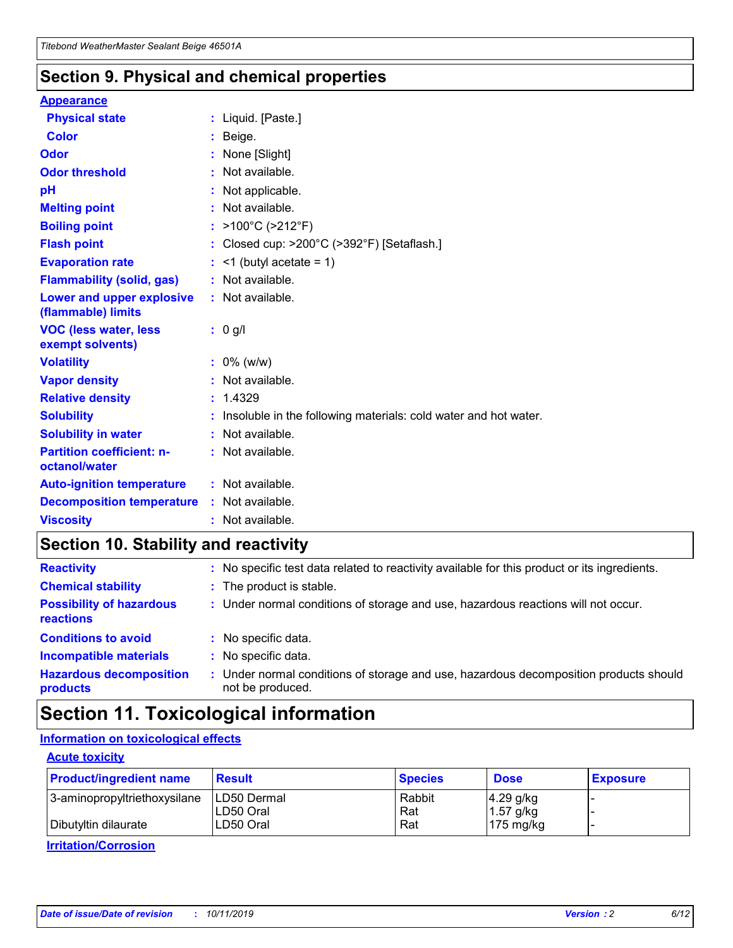### **Section 9. Physical and chemical properties**

#### **Appearance**

| <b>Physical state</b>                             | : Liquid. [Paste.]                                                |
|---------------------------------------------------|-------------------------------------------------------------------|
| Color                                             | Beige.                                                            |
| Odor                                              | None [Slight]                                                     |
| <b>Odor threshold</b>                             | : Not available.                                                  |
| рH                                                | : Not applicable.                                                 |
| <b>Melting point</b>                              | : Not available.                                                  |
| <b>Boiling point</b>                              | : $>100^{\circ}$ C ( $>212^{\circ}$ F)                            |
| <b>Flash point</b>                                | : Closed cup: $>200^{\circ}$ C ( $>392^{\circ}$ F) [Setaflash.]   |
| <b>Evaporation rate</b>                           | $:$ <1 (butyl acetate = 1)                                        |
| <b>Flammability (solid, gas)</b>                  | : Not available.                                                  |
| Lower and upper explosive<br>(flammable) limits   | : Not available.                                                  |
| <b>VOC (less water, less</b><br>exempt solvents)  | : 0 g/l                                                           |
| <b>Volatility</b>                                 | $: 0\%$ (w/w)                                                     |
| <b>Vapor density</b>                              | : Not available.                                                  |
| <b>Relative density</b>                           | : 1.4329                                                          |
| <b>Solubility</b>                                 | : Insoluble in the following materials: cold water and hot water. |
| <b>Solubility in water</b>                        | : Not available.                                                  |
| <b>Partition coefficient: n-</b><br>octanol/water | : Not available.                                                  |
| <b>Auto-ignition temperature</b>                  | : Not available.                                                  |
| <b>Decomposition temperature</b>                  | : Not available.                                                  |
| <b>Viscosity</b>                                  | : Not available.                                                  |

### **Section 10. Stability and reactivity**

| <b>Reactivity</b>                            |    | : No specific test data related to reactivity available for this product or its ingredients.            |
|----------------------------------------------|----|---------------------------------------------------------------------------------------------------------|
| <b>Chemical stability</b>                    |    | : The product is stable.                                                                                |
| <b>Possibility of hazardous</b><br>reactions |    | : Under normal conditions of storage and use, hazardous reactions will not occur.                       |
| <b>Conditions to avoid</b>                   |    | : No specific data.                                                                                     |
| <b>Incompatible materials</b>                | ٠. | No specific data.                                                                                       |
| <b>Hazardous decomposition</b><br>products   | ÷. | Under normal conditions of storage and use, hazardous decomposition products should<br>not be produced. |

## **Section 11. Toxicological information**

### **Information on toxicological effects**

#### **Acute toxicity**

| <b>Product/ingredient name</b> | <b>Result</b>           | <b>Species</b> | <b>Dose</b>                | <b>Exposure</b> |
|--------------------------------|-------------------------|----------------|----------------------------|-----------------|
| 3-aminopropyltriethoxysilane   | <b>ILD50 Dermal</b>     | Rabbit         | 4.29 g/kg                  |                 |
| Dibutyltin dilaurate           | ILD50 Oral<br>LD50 Oral | Rat<br>Rat     | $1.57$ g/kg<br>175 $mg/kg$ |                 |
|                                |                         |                |                            |                 |

**Irritation/Corrosion**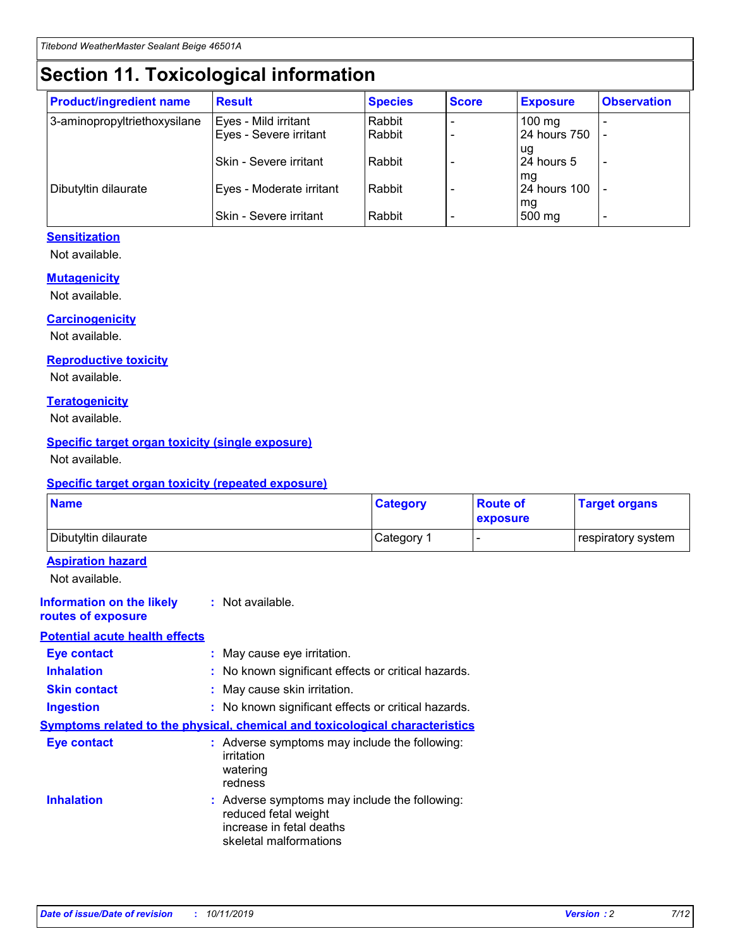## **Section 11. Toxicological information**

| <b>Product/ingredient name</b> | <b>Result</b>            | <b>Species</b> | <b>Score</b> | <b>Exposure</b>           | <b>Observation</b> |
|--------------------------------|--------------------------|----------------|--------------|---------------------------|--------------------|
| 3-aminopropyltriethoxysilane   | Eyes - Mild irritant     | Rabbit         |              | $100$ mg                  |                    |
|                                | Eyes - Severe irritant   | Rabbit         |              | 24 hours 750              |                    |
|                                |                          |                |              | ug                        |                    |
|                                | Skin - Severe irritant   | Rabbit         |              | 24 hours 5                | -                  |
| Dibutyltin dilaurate           | Eyes - Moderate irritant | Rabbit         |              | mg<br><b>24 hours 100</b> |                    |
|                                |                          |                |              | mg                        |                    |
|                                | Skin - Severe irritant   | Rabbit         |              | 500 mg                    | -                  |

### **Sensitization**

Not available.

#### **Mutagenicity**

Not available.

#### **Carcinogenicity**

Not available.

#### **Reproductive toxicity**

Not available.

#### **Teratogenicity**

Not available.

#### **Specific target organ toxicity (single exposure)**

Not available.

#### **Specific target organ toxicity (repeated exposure)**

| <b>Name</b>                                                                  |                                                                                                                             | <b>Category</b> | <b>Route of</b><br>exposure  | <b>Target organs</b> |
|------------------------------------------------------------------------------|-----------------------------------------------------------------------------------------------------------------------------|-----------------|------------------------------|----------------------|
| Dibutyltin dilaurate                                                         |                                                                                                                             | Category 1      | $\qquad \qquad \blacksquare$ | respiratory system   |
| <b>Aspiration hazard</b><br>Not available.                                   |                                                                                                                             |                 |                              |                      |
| <b>Information on the likely</b><br>routes of exposure                       | : Not available.                                                                                                            |                 |                              |                      |
| <b>Potential acute health effects</b>                                        |                                                                                                                             |                 |                              |                      |
| <b>Eye contact</b>                                                           | : May cause eye irritation.                                                                                                 |                 |                              |                      |
| <b>Inhalation</b>                                                            | : No known significant effects or critical hazards.                                                                         |                 |                              |                      |
| <b>Skin contact</b>                                                          | : May cause skin irritation.                                                                                                |                 |                              |                      |
| <b>Ingestion</b>                                                             | : No known significant effects or critical hazards.                                                                         |                 |                              |                      |
| Symptoms related to the physical, chemical and toxicological characteristics |                                                                                                                             |                 |                              |                      |
| <b>Eye contact</b>                                                           | : Adverse symptoms may include the following:<br>irritation<br>watering<br>redness                                          |                 |                              |                      |
| <b>Inhalation</b>                                                            | : Adverse symptoms may include the following:<br>reduced fetal weight<br>increase in fetal deaths<br>skeletal malformations |                 |                              |                      |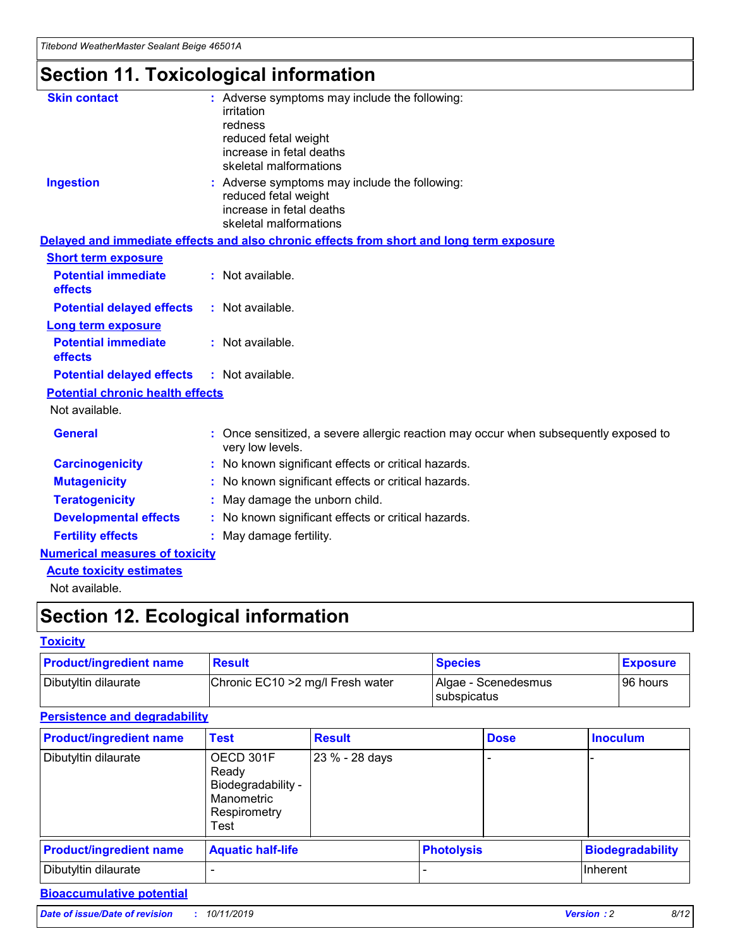## **Section 11. Toxicological information**

| <b>Skin contact</b>                     |                                                                                                          |
|-----------------------------------------|----------------------------------------------------------------------------------------------------------|
|                                         | : Adverse symptoms may include the following:<br>irritation                                              |
|                                         | redness                                                                                                  |
|                                         | reduced fetal weight                                                                                     |
|                                         | increase in fetal deaths                                                                                 |
|                                         | skeletal malformations                                                                                   |
| <b>Ingestion</b>                        | : Adverse symptoms may include the following:                                                            |
|                                         | reduced fetal weight                                                                                     |
|                                         | increase in fetal deaths                                                                                 |
|                                         | skeletal malformations                                                                                   |
|                                         | Delayed and immediate effects and also chronic effects from short and long term exposure                 |
| <b>Short term exposure</b>              |                                                                                                          |
| <b>Potential immediate</b>              | : Not available.                                                                                         |
| effects                                 |                                                                                                          |
| <b>Potential delayed effects</b>        | : Not available.                                                                                         |
| <b>Long term exposure</b>               |                                                                                                          |
| <b>Potential immediate</b>              | : Not available.                                                                                         |
| effects                                 |                                                                                                          |
| <b>Potential delayed effects</b>        | : Not available.                                                                                         |
| <b>Potential chronic health effects</b> |                                                                                                          |
| Not available.                          |                                                                                                          |
| <b>General</b>                          | : Once sensitized, a severe allergic reaction may occur when subsequently exposed to<br>very low levels. |
| <b>Carcinogenicity</b>                  | : No known significant effects or critical hazards.                                                      |
| <b>Mutagenicity</b>                     | No known significant effects or critical hazards.                                                        |
| <b>Teratogenicity</b>                   | May damage the unborn child.                                                                             |
| <b>Developmental effects</b>            | No known significant effects or critical hazards.                                                        |
| <b>Fertility effects</b>                | : May damage fertility.                                                                                  |
| <b>Numerical measures of toxicity</b>   |                                                                                                          |
| <b>Acute toxicity estimates</b>         |                                                                                                          |
|                                         |                                                                                                          |

Not available.

## **Section 12. Ecological information**

#### **Toxicity**

| <b>Product/ingredient name</b> | <b>Result</b>                     | <b>Species</b>                       | <b>Exposure</b> |
|--------------------------------|-----------------------------------|--------------------------------------|-----------------|
| Dibutyltin dilaurate           | Chronic EC10 > 2 mg/l Fresh water | Algae - Scenedesmus<br>I subspicatus | l 96 hours      |

### **Persistence and degradability**

| <b>Product/ingredient name</b> | <b>Test</b>                                                                    | <b>Result</b>  |                   | <b>Dose</b> | <b>Inoculum</b>         |
|--------------------------------|--------------------------------------------------------------------------------|----------------|-------------------|-------------|-------------------------|
| Dibutyltin dilaurate           | OECD 301F<br>Ready<br>Biodegradability -<br>Manometric<br>Respirometry<br>Test | 23 % - 28 days |                   |             |                         |
| <b>Product/ingredient name</b> | <b>Aquatic half-life</b>                                                       |                | <b>Photolysis</b> |             | <b>Biodegradability</b> |
| Dibutyltin dilaurate           |                                                                                |                |                   |             | Inherent                |

### **Bioaccumulative potential**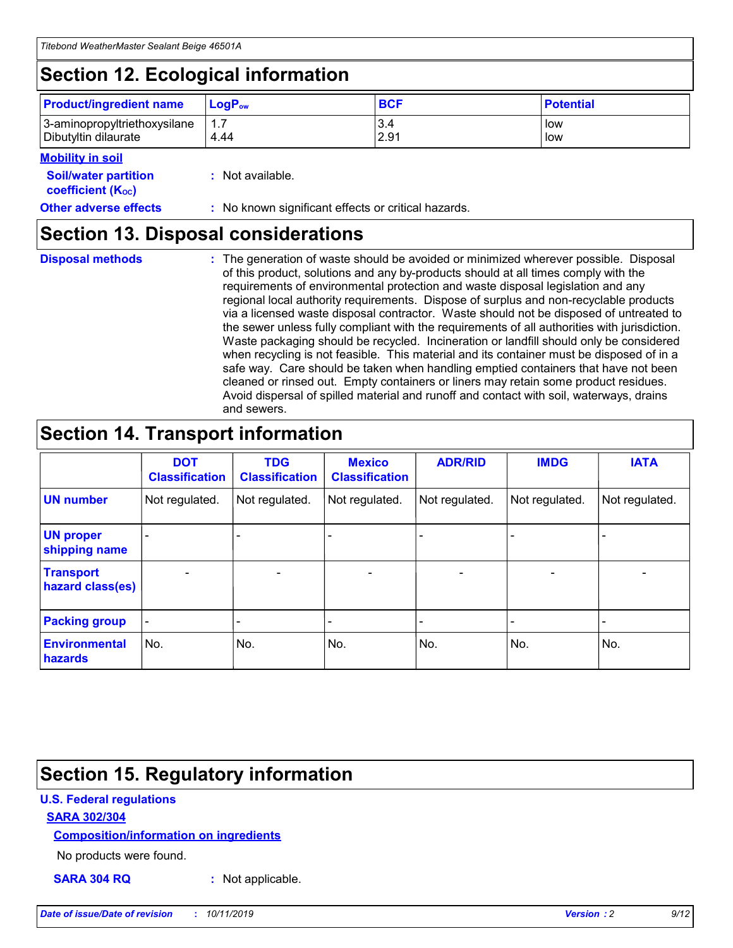## **Section 12. Ecological information**

| <b>Product/ingredient name</b> | $LoaPow$ | <b>BCF</b> | <b>Potential</b> |
|--------------------------------|----------|------------|------------------|
| 3-aminopropyltriethoxysilane   | 1.7      | 3.4        | low              |
| Dibutyltin dilaurate           | 4.44     | 2.91       | low              |

#### **Mobility in soil**

| <i></i>                                                       |                                                     |
|---------------------------------------------------------------|-----------------------------------------------------|
| <b>Soil/water partition</b><br>coefficient (K <sub>oc</sub> ) | : Not available.                                    |
| <b>Other adverse effects</b>                                  | : No known significant effects or critical hazards. |

### **Section 13. Disposal considerations**

**Disposal methods :**

The generation of waste should be avoided or minimized wherever possible. Disposal of this product, solutions and any by-products should at all times comply with the requirements of environmental protection and waste disposal legislation and any regional local authority requirements. Dispose of surplus and non-recyclable products via a licensed waste disposal contractor. Waste should not be disposed of untreated to the sewer unless fully compliant with the requirements of all authorities with jurisdiction. Waste packaging should be recycled. Incineration or landfill should only be considered when recycling is not feasible. This material and its container must be disposed of in a safe way. Care should be taken when handling emptied containers that have not been cleaned or rinsed out. Empty containers or liners may retain some product residues. Avoid dispersal of spilled material and runoff and contact with soil, waterways, drains and sewers.

## **Section 14. Transport information**

|                                      | <b>DOT</b><br><b>Classification</b> | <b>TDG</b><br><b>Classification</b> | <b>Mexico</b><br><b>Classification</b> | <b>ADR/RID</b>           | <b>IMDG</b>              | <b>IATA</b>    |
|--------------------------------------|-------------------------------------|-------------------------------------|----------------------------------------|--------------------------|--------------------------|----------------|
| <b>UN number</b>                     | Not regulated.                      | Not regulated.                      | Not regulated.                         | Not regulated.           | Not regulated.           | Not regulated. |
| <b>UN proper</b><br>shipping name    | $\blacksquare$                      |                                     |                                        |                          |                          |                |
| <b>Transport</b><br>hazard class(es) | $\blacksquare$                      | $\overline{\phantom{a}}$            | $\overline{\phantom{a}}$               | $\overline{\phantom{a}}$ | $\overline{\phantom{a}}$ | $\blacksquare$ |
| <b>Packing group</b>                 | $\overline{\phantom{a}}$            | -                                   | -                                      | -                        |                          | -              |
| <b>Environmental</b><br>hazards      | No.                                 | No.                                 | No.                                    | No.                      | No.                      | No.            |

## **Section 15. Regulatory information**

### **U.S. Federal regulations**

#### **SARA 302/304**

#### **Composition/information on ingredients**

No products were found.

**SARA 304 RQ :** Not applicable.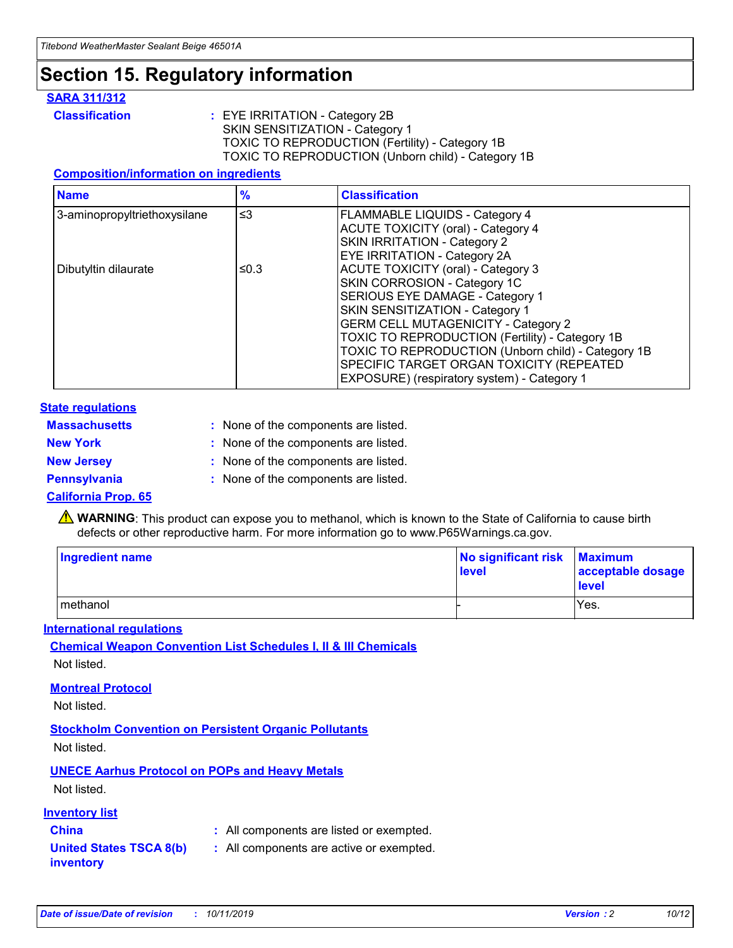## **Section 15. Regulatory information**

#### **SARA 311/312**

**Classification :** EYE IRRITATION - Category 2B SKIN SENSITIZATION - Category 1 TOXIC TO REPRODUCTION (Fertility) - Category 1B TOXIC TO REPRODUCTION (Unborn child) - Category 1B

#### **Composition/information on ingredients**

| <b>Name</b>                  | $\frac{9}{6}$ | <b>Classification</b>                                                                                            |
|------------------------------|---------------|------------------------------------------------------------------------------------------------------------------|
| 3-aminopropyltriethoxysilane | $\leq$ 3      | <b>FLAMMABLE LIQUIDS - Category 4</b><br><b>ACUTE TOXICITY (oral) - Category 4</b>                               |
|                              |               | SKIN IRRITATION - Category 2<br>EYE IRRITATION - Category 2A                                                     |
| Dibutyltin dilaurate         | ≤0.3          | ACUTE TOXICITY (oral) - Category 3<br>SKIN CORROSION - Category 1C                                               |
|                              |               | SERIOUS EYE DAMAGE - Category 1<br>SKIN SENSITIZATION - Category 1<br><b>GERM CELL MUTAGENICITY - Category 2</b> |
|                              |               | TOXIC TO REPRODUCTION (Fertility) - Category 1B<br>TOXIC TO REPRODUCTION (Unborn child) - Category 1B            |
|                              |               | SPECIFIC TARGET ORGAN TOXICITY (REPEATED<br>EXPOSURE) (respiratory system) - Category 1                          |

#### **State regulations**

| <b>Massachusetts</b> | : None of the components are listed. |
|----------------------|--------------------------------------|
| <b>New York</b>      | : None of the components are listed. |
| <b>New Jersey</b>    | : None of the components are listed. |
| <b>Pennsylvania</b>  | : None of the components are listed. |

#### **California Prop. 65**

**A** WARNING: This product can expose you to methanol, which is known to the State of California to cause birth defects or other reproductive harm. For more information go to www.P65Warnings.ca.gov.

| <b>Ingredient name</b> | No significant risk Maximum<br>level | acceptable dosage<br>level |
|------------------------|--------------------------------------|----------------------------|
| methanol               |                                      | Yes.                       |

#### **International regulations**

**Chemical Weapon Convention List Schedules I, II & III Chemicals** Not listed.

#### **Montreal Protocol**

Not listed.

#### **Stockholm Convention on Persistent Organic Pollutants**

Not listed.

### **UNECE Aarhus Protocol on POPs and Heavy Metals**

Not listed.

#### **Inventory list**

### **China :** All components are listed or exempted.

#### **United States TSCA 8(b) inventory :** All components are active or exempted.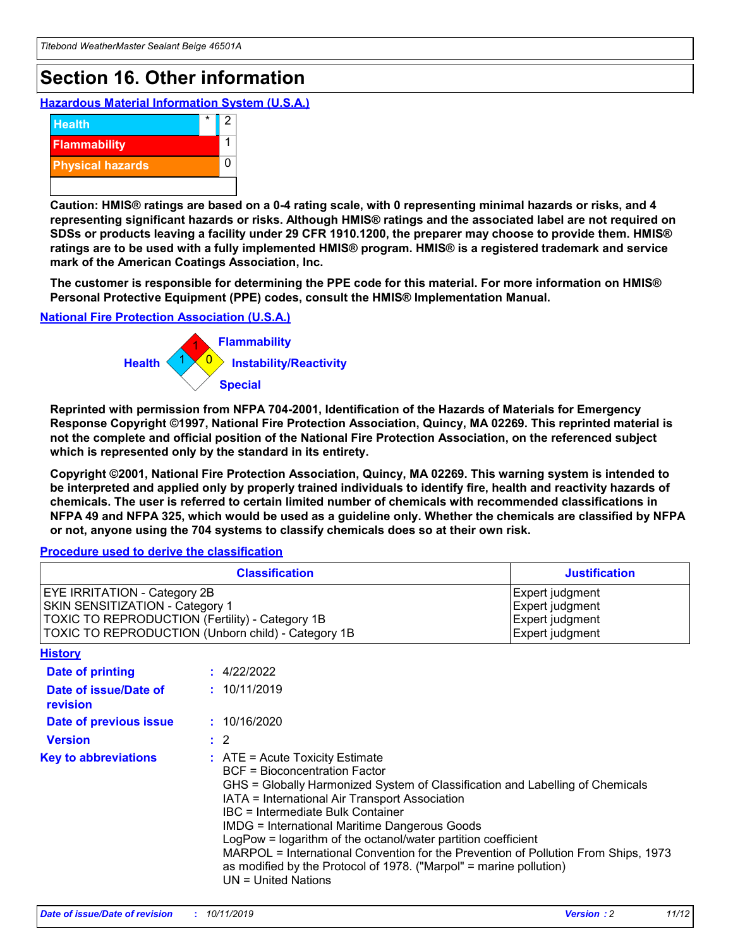## **Section 16. Other information**

**Hazardous Material Information System (U.S.A.)**



**Caution: HMIS® ratings are based on a 0-4 rating scale, with 0 representing minimal hazards or risks, and 4 representing significant hazards or risks. Although HMIS® ratings and the associated label are not required on SDSs or products leaving a facility under 29 CFR 1910.1200, the preparer may choose to provide them. HMIS® ratings are to be used with a fully implemented HMIS® program. HMIS® is a registered trademark and service mark of the American Coatings Association, Inc.**

**The customer is responsible for determining the PPE code for this material. For more information on HMIS® Personal Protective Equipment (PPE) codes, consult the HMIS® Implementation Manual.**

#### **National Fire Protection Association (U.S.A.)**



**Reprinted with permission from NFPA 704-2001, Identification of the Hazards of Materials for Emergency Response Copyright ©1997, National Fire Protection Association, Quincy, MA 02269. This reprinted material is not the complete and official position of the National Fire Protection Association, on the referenced subject which is represented only by the standard in its entirety.**

**Copyright ©2001, National Fire Protection Association, Quincy, MA 02269. This warning system is intended to be interpreted and applied only by properly trained individuals to identify fire, health and reactivity hazards of chemicals. The user is referred to certain limited number of chemicals with recommended classifications in NFPA 49 and NFPA 325, which would be used as a guideline only. Whether the chemicals are classified by NFPA or not, anyone using the 704 systems to classify chemicals does so at their own risk.**

**Procedure used to derive the classification**

| <b>Classification</b>                                                                                                                                                    |                                                                                                                                                  | <b>Justification</b>                                                                                                                                                                                                                                                                                                                                                                                                 |  |
|--------------------------------------------------------------------------------------------------------------------------------------------------------------------------|--------------------------------------------------------------------------------------------------------------------------------------------------|----------------------------------------------------------------------------------------------------------------------------------------------------------------------------------------------------------------------------------------------------------------------------------------------------------------------------------------------------------------------------------------------------------------------|--|
| EYE IRRITATION - Category 2B<br>SKIN SENSITIZATION - Category 1<br>TOXIC TO REPRODUCTION (Fertility) - Category 1B<br>TOXIC TO REPRODUCTION (Unborn child) - Category 1B |                                                                                                                                                  | Expert judgment<br>Expert judgment<br>Expert judgment<br>Expert judgment                                                                                                                                                                                                                                                                                                                                             |  |
| <b>History</b>                                                                                                                                                           |                                                                                                                                                  |                                                                                                                                                                                                                                                                                                                                                                                                                      |  |
| Date of printing                                                                                                                                                         | : 4/22/2022                                                                                                                                      |                                                                                                                                                                                                                                                                                                                                                                                                                      |  |
| Date of issue/Date of<br>revision                                                                                                                                        | : 10/11/2019                                                                                                                                     |                                                                                                                                                                                                                                                                                                                                                                                                                      |  |
| Date of previous issue                                                                                                                                                   | : 10/16/2020                                                                                                                                     |                                                                                                                                                                                                                                                                                                                                                                                                                      |  |
| <b>Version</b>                                                                                                                                                           | $\therefore$ 2                                                                                                                                   |                                                                                                                                                                                                                                                                                                                                                                                                                      |  |
| <b>Key to abbreviations</b>                                                                                                                                              | $\therefore$ ATE = Acute Toxicity Estimate<br><b>BCF</b> = Bioconcentration Factor<br>IBC = Intermediate Bulk Container<br>$UN = United Nations$ | GHS = Globally Harmonized System of Classification and Labelling of Chemicals<br>IATA = International Air Transport Association<br><b>IMDG = International Maritime Dangerous Goods</b><br>LogPow = logarithm of the octanol/water partition coefficient<br>MARPOL = International Convention for the Prevention of Pollution From Ships, 1973<br>as modified by the Protocol of 1978. ("Marpol" = marine pollution) |  |